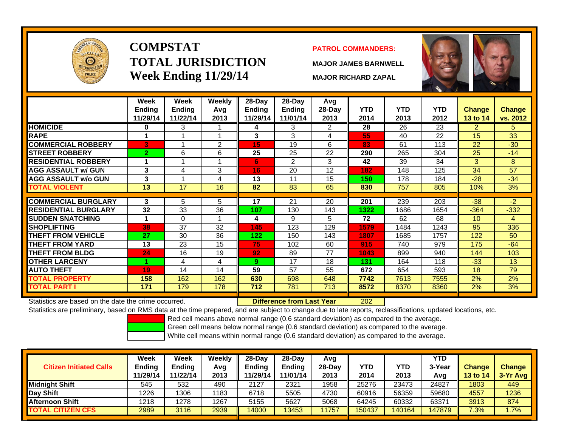

# **COMPSTATTOTAL JURISDICTIONWeek Ending 11/29/14 MAJOR RICHARD ZAPAL**

## **PATROL COMMANDERS:**

**MAJOR JAMES BARNWELL**



|                             | Week<br><b>Ending</b> | Week<br><b>Ending</b> | Weekly<br>Avg | 28-Day<br><b>Ending</b> | 28-Dav<br><b>Ending</b> | Avg<br>$28$ -Day | <b>YTD</b> | <b>YTD</b> | <b>YTD</b> | <b>Change</b>   | Change   |
|-----------------------------|-----------------------|-----------------------|---------------|-------------------------|-------------------------|------------------|------------|------------|------------|-----------------|----------|
|                             | 11/29/14              | 11/22/14              | 2013          | 11/29/14                | 11/01/14                | 2013             | 2014       | 2013       | 2012       | 13 to 14        | vs. 2012 |
| <b>HOMICIDE</b>             | $\bf{0}$              | 3                     |               | 4                       | 3                       | 2                | 28         | 26         | 23         | 2               | 5.       |
| <b>RAPE</b>                 |                       |                       |               | 3                       | 3                       | 4                | 55         | 40         | 22         | 15              | 33       |
| <b>COMMERCIAL ROBBERY</b>   | 3                     |                       | 2             | 15                      | 19                      | 6                | 83         | 61         | 113        | 22              | $-30$    |
| <b>STREET ROBBERY</b>       | $\overline{2}$        | 6                     | 6             | 25                      | 25                      | 22               | 290        | 265        | 304        | 25              | $-14$    |
| <b>RESIDENTIAL ROBBERY</b>  |                       |                       |               | 6                       | 2                       | 3                | 42         | 39         | 34         | 3               | 8        |
| <b>AGG ASSAULT w/ GUN</b>   | 3                     | 4                     | 3             | 16 <sub>1</sub>         | 20                      | 12               | 182        | 148        | 125        | 34              | 57       |
| <b>AGG ASSAULT w/o GUN</b>  | 3                     |                       | 4             | 13                      | 11                      | 15               | 150        | 178        | 184        | $-28$           | $-34$    |
| <b>TOTAL VIOLENT</b>        | 13                    | 17                    | 16            | 82                      | 83                      | 65               | 830        | 757        | 805        | 10%             | 3%       |
|                             |                       |                       |               |                         |                         |                  |            |            |            |                 |          |
| <b>COMMERCIAL BURGLARY</b>  | 3                     | 5                     | 5             | $\overline{17}$         | $\overline{21}$         | 20               | 201        | 239        | 203        | $-38$           | $-2$     |
| <b>RESIDENTIAL BURGLARY</b> | 32                    | 33                    | 36            | 107                     | 130                     | 143              | 1322       | 1686       | 1654       | $-364$          | $-332$   |
| <b>SUDDEN SNATCHING</b>     |                       | $\Omega$              |               | 4                       | 9                       | 5                | 72         | 62         | 68         | 10 <sup>°</sup> | 4        |
| <b>ISHOPLIFTING</b>         | 38                    | 37                    | 32            | 145                     | 123                     | 129              | 1579       | 1484       | 1243       | 95              | 336      |
| <b>THEFT FROM VEHICLE</b>   | 27                    | 30                    | 36            | 122                     | 150                     | 143              | 1807       | 1685       | 1757       | 122             | 50       |
| <b>THEFT FROM YARD</b>      | 13                    | 23                    | 15            | 75                      | 102                     | 60               | 915        | 740        | 979        | 175             | $-64$    |
| <b>THEFT FROM BLDG</b>      | 24                    | 16                    | 19            | 92                      | 89                      | 77               | 1043       | 899        | 940        | 144             | 103      |
| <b>OTHER LARCENY</b>        |                       | 4                     | 4             | 9.                      | 17                      | 18               | 131        | 164        | 118        | $-33$           | 13       |
| <b>AUTO THEFT</b>           | 19                    | 14                    | 14            | 59                      | 57                      | 55               | 672        | 654        | 593        | 18              | 79       |
| <b>TOTAL PROPERTY</b>       | 158                   | 162                   | 162           | 630                     | 698                     | 648              | 7742       | 7613       | 7555       | 2%              | 2%       |
| <b>TOTAL PART I</b>         | 171                   | 179                   | 178           | 712                     | 781                     | 713              | 8572       | 8370       | 8360       | 2%              | 3%       |

Statistics are based on the date the crime occurred. **Difference from Last Year** 

202

Statistics are preliminary, based on RMS data at the time prepared, and are subject to change due to late reports, reclassifications, updated locations, etc.

Red cell means above normal range (0.6 standard deviation) as compared to the average.

Green cell means below normal range (0.6 standard deviation) as compared to the average.

| <b>Citizen Initiated Calls</b> | Week<br>Ending<br>11/29/14 | <b>Week</b><br><b>Ending</b><br>11/22/14 | Weekly<br>Avg<br>2013 | 28-Dav<br><b>Endina</b><br>11/29/14 | 28-Day<br><b>Ending</b><br>11/01/14 | Avq<br>28-Dav<br>2013 | YTD<br>2014 | YTD<br>2013 | <b>YTD</b><br>3-Yea<br>Avg | <b>Change</b><br>13 to 14 | <b>Change</b><br>3-Yr Avg |
|--------------------------------|----------------------------|------------------------------------------|-----------------------|-------------------------------------|-------------------------------------|-----------------------|-------------|-------------|----------------------------|---------------------------|---------------------------|
| <b>Midnight Shift</b>          | 545                        | 532                                      | 490                   | 2127                                | 2321                                | 1958                  | 25276       | 23473       | 24827                      | 1803                      | 449                       |
| <b>Day Shift</b>               | 1226                       | 1306                                     | 1183                  | 6718                                | 5505                                | 4730                  | 60916       | 56359       | 59680                      | 4557                      | 1236                      |
| Afternoon Shift                | 1218                       | 1278                                     | 1267                  | 5155                                | 5627                                | 5068                  | 64245       | 60332       | 63371                      | 3913                      | 874                       |
| <b>TOTAL CITIZEN CFS</b>       | 2989                       | 3116                                     | 2939                  | 14000                               | 13453                               | 11757                 | 150437      | 140164      | 147879                     | 7.3%                      | $1.7\%$                   |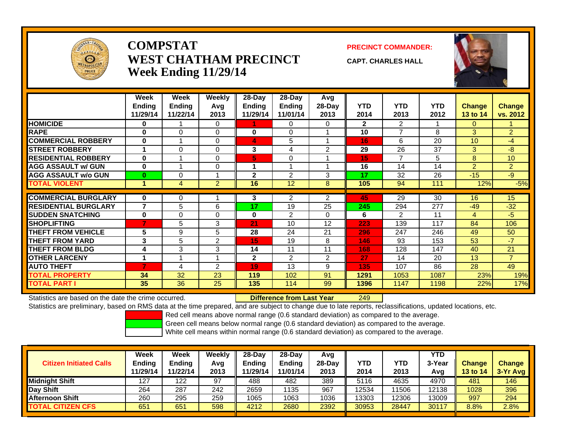

## **COMPSTATWEST CHATHAM PRECINCTWeek Ending 11/29/14**

**PRECINCT COMMANDER:**

**CAPT. CHARLES HALL**



|                             | Week           | Week          | <b>Weekly</b>  | 28-Day       | $28$ -Day     | Avg            |              |                |            |                |                 |
|-----------------------------|----------------|---------------|----------------|--------------|---------------|----------------|--------------|----------------|------------|----------------|-----------------|
|                             | <b>Ending</b>  | <b>Ending</b> | Avg            | Ending       | <b>Ending</b> | $28-Day$       | <b>YTD</b>   | <b>YTD</b>     | <b>YTD</b> | <b>Change</b>  | <b>Change</b>   |
|                             | 11/29/14       | 11/22/14      | 2013           | 11/29/14     | 11/01/14      | 2013           | 2014         | 2013           | 2012       | 13 to 14       | vs. 2012        |
| <b>HOMICIDE</b>             | 0              |               | 0              |              | $\Omega$      | $\Omega$       | $\mathbf{2}$ | $\overline{2}$ |            | $\Omega$       |                 |
| <b>RAPE</b>                 | 0              | $\Omega$      | $\Omega$       | $\bf{0}$     | $\Omega$      |                | 10           | $\overline{7}$ | 8          | 3              | $\overline{2}$  |
| <b>COMMERCIAL ROBBERY</b>   | 0              |               | $\Omega$       | 4            | 5             |                | 16           | 6              | 20         | 10             | $-4$            |
| <b>STREET ROBBERY</b>       |                | $\Omega$      | $\Omega$       | 3            | 4             | 2              | 29           | 26             | 37         | $\overline{3}$ | $-8$            |
| <b>RESIDENTIAL ROBBERY</b>  | $\bf{0}$       | 4             | $\Omega$       | 5            | $\Omega$      |                | 15           | $\overline{7}$ | 5          | 8              | 10 <sup>°</sup> |
| <b>AGG ASSAULT w/ GUN</b>   | $\bf{0}$       |               | $\Omega$       |              |               |                | 16           | 14             | 14         | $\overline{2}$ | $\overline{2}$  |
| <b>AGG ASSAULT w/o GUN</b>  | $\bf{0}$       | $\Omega$      | 1              | $\mathbf{2}$ | 2             | 3              | 17           | 32             | 26         | $-15$          | $-9$            |
| <b>TOTAL VIOLENT</b>        | 1              | 4             | $\overline{2}$ | 16           | 12            | 8              | 105          | 94             | 111        | 12%            | $-5%$           |
|                             |                |               |                |              |               |                |              |                |            |                |                 |
| <b>COMMERCIAL BURGLARY</b>  | $\bf{0}$       | 0             |                | 3            | 2             | $\overline{2}$ | 45           | 29             | 30         | 16             | 15              |
| <b>RESIDENTIAL BURGLARY</b> | $\overline{7}$ | 5             | 6              | 17           | 19            | 25             | 245          | 294            | 277        | $-49$          | $-32$           |
| <b>SUDDEN SNATCHING</b>     | $\bf{0}$       | $\Omega$      | $\Omega$       | $\bf{0}$     | 2             | $\Omega$       | 6            | 2              | 11         | 4              | $-5$            |
| <b>SHOPLIFTING</b>          | $\overline{7}$ | 5             | 3              | 21           | 10            | 12             | 223          | 139            | 117        | 84             | 106             |
| <b>THEFT FROM VEHICLE</b>   | 5              | 9             | 5              | 28           | 24            | 21             | 296          | 247            | 246        | 49             | 50              |
| <b>THEFT FROM YARD</b>      | 3              | 5             | $\overline{2}$ | 15           | 19            | 8              | 146          | 93             | 153        | 53             | $-7$            |
| <b>THEFT FROM BLDG</b>      | 4              | 3             | 3              | 14           | 11            | 11             | 168          | 128            | 147        | 40             | 21              |
| <b>OTHER LARCENY</b>        | 1              |               | 1              | $\mathbf{2}$ | 2             | $\overline{2}$ | 27           | 14             | 20         | 13             | $\overline{7}$  |
| <b>AUTO THEFT</b>           | 7              | 4             | 2              | 19           | 13            | 9              | 135          | 107            | 86         | 28             | 49              |
| <b>TOTAL PROPERTY</b>       | 34             | 32            | 23             | 119          | 102           | 91             | 1291         | 1053           | 1087       | 23%            | 19%             |
| <b>TOTAL PART I</b>         | 35             | 36            | 25             | 135          | 114           | 99             | 1396         | 1147           | 1198       | 22%            | 17%             |

Statistics are based on the date the crime occurred. **Difference from Last Year** 

r 249

Statistics are preliminary, based on RMS data at the time prepared, and are subject to change due to late reports, reclassifications, updated locations, etc.

Red cell means above normal range (0.6 standard deviation) as compared to the average.

Green cell means below normal range (0.6 standard deviation) as compared to the average.

| <b>Citizen Initiated Calls</b> | Week<br><b>Ending</b><br>11/29/14 | Week<br><b>Ending</b><br>11/22/14 | Weekly<br>Avg<br>2013 | $28-Day$<br>Ending<br>11/29/14 | $28-Day$<br><b>Ending</b><br>11/01/14 | Avg<br>$28-Dav$<br>2013 | YTD<br>2014 | <b>YTD</b><br>2013 | <b>YTD</b><br>3-Year<br>Avg | <b>Change</b><br><b>13 to 14</b> | <b>Change</b><br>3-Yr Avg |
|--------------------------------|-----------------------------------|-----------------------------------|-----------------------|--------------------------------|---------------------------------------|-------------------------|-------------|--------------------|-----------------------------|----------------------------------|---------------------------|
| <b>Midnight Shift</b>          | 127                               | 122                               | 97                    | 488                            | 482                                   | 389                     | 5116        | 4635               | 4970                        | 481                              | 146                       |
| Day Shift                      | 264                               | 287                               | 242                   | 2659                           | 1135                                  | 967                     | 12534       | 11506              | 2138                        | 1028                             | 396                       |
| <b>Afternoon Shift</b>         | 260                               | 295                               | 259                   | 1065                           | 1063                                  | 1036                    | 13303       | 12306              | 3009                        | 997                              | 294                       |
| <b>TOTAL CITIZEN CFS</b>       | 651                               | 651                               | 598                   | 4212                           | 2680                                  | 2392                    | 30953       | 28447              | 30117                       | 8.8%                             | 2.8%                      |
|                                |                                   |                                   |                       |                                |                                       |                         |             |                    |                             |                                  |                           |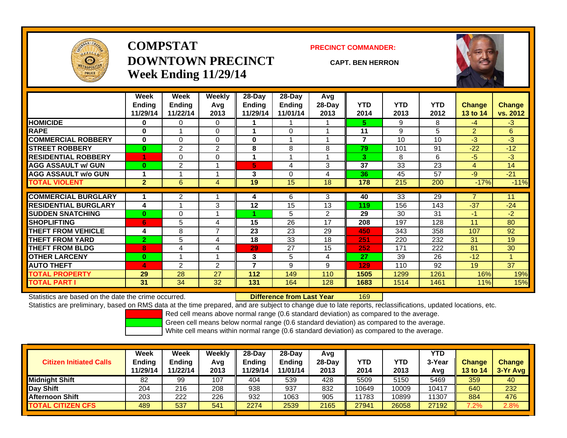

# **COMPSTATDOWNTOWN PRECINCTWeek Ending 11/29/14**

### **PRECINCT COMMANDER:**

### **CAPT. BEN HERRON**

169



|                             | Week           | Week           | Weekly         | 28-Day        | $28-Day$      | Avg            |            |            |            |                |               |
|-----------------------------|----------------|----------------|----------------|---------------|---------------|----------------|------------|------------|------------|----------------|---------------|
|                             | <b>Endina</b>  | <b>Ending</b>  | Avg            | <b>Ending</b> | <b>Ending</b> | 28-Day         | <b>YTD</b> | <b>YTD</b> | <b>YTD</b> | <b>Change</b>  | <b>Change</b> |
|                             | 11/29/14       | 11/22/14       | 2013           | 11/29/14      | 11/01/14      | 2013           | 2014       | 2013       | 2012       | 13 to 14       | vs. 2012      |
| <b>HOMICIDE</b>             | 0              | 0              | 0              |               |               |                | 5.         | 9          | 8          | $-4$           | $-3$          |
| <b>RAPE</b>                 | 0              |                | $\mathbf 0$    |               | 0             |                | 11         | 9          | 5          | 2              | 6             |
| <b>COMMERCIAL ROBBERY</b>   | $\bf{0}$       | 0              | $\Omega$       | $\bf{0}$      |               |                | 7          | 10         | 10         | $-3$           | $-3$          |
| <b>ISTREET ROBBERY</b>      | $\bf{0}$       | $\overline{2}$ | 2              | 8             | 8             | 8              | 79         | 101        | 91         | $-22$          | $-12$         |
| <b>RESIDENTIAL ROBBERY</b>  |                | 0              | $\mathbf 0$    |               |               |                | 3          | 8          | 6          | $-5$           | $-3$          |
| <b>AGG ASSAULT w/ GUN</b>   | 0              | $\overline{2}$ |                | 5.            | 4             | 3              | 37         | 33         | 23         | $\overline{4}$ | 14            |
| <b>AGG ASSAULT w/o GUN</b>  | 1              |                |                | 3             | $\Omega$      | 4              | 36         | 45         | 57         | $-9$           | $-21$         |
| <b>TOTAL VIOLENT</b>        | $\overline{2}$ | 6              | 4              | 19            | 15            | 18             | 178        | 215        | 200        | $-17%$         | $-11%$        |
| <b>COMMERCIAL BURGLARY</b>  |                | 2              |                | 4             | 6             | 3              | 40         | 33         | 29         | 7              | 11            |
|                             |                |                |                |               |               |                |            |            |            |                |               |
| <b>RESIDENTIAL BURGLARY</b> | 4              |                | 3              | 12            | 15            | 13             | 119        | 156        | 143        | $-37$          | $-24$         |
| <b>SUDDEN SNATCHING</b>     | $\bf{0}$       | 0              |                |               | 5             | $\overline{2}$ | 29         | 30         | 31         | -1             | $-2$          |
| <b>SHOPLIFTING</b>          | 6              | 5              | 4              | 15            | 26            | 17             | 208        | 197        | 128        | 11             | 80            |
| <b>THEFT FROM VEHICLE</b>   | 4              | 8              | $\overline{7}$ | 23            | 23            | 29             | 450        | 343        | 358        | 107            | 92            |
| <b>THEFT FROM YARD</b>      | $\overline{2}$ | 5              | 4              | 18            | 33            | 18             | 251        | 220        | 232        | 31             | 19            |
| <b>THEFT FROM BLDG</b>      | 8              | 4              | 4              | 29            | 27            | 15             | 252        | 171        | 222        | 81             | 30            |
| <b>OTHER LARCENY</b>        | $\bf{0}$       |                |                | 3             | 5             | 4              | 27         | 39         | 26         | $-12$          |               |
| <b>AUTO THEFT</b>           | 4              | 2              | 2              | 7             | 9             | 9              | 129        | 110        | 92         | 19             | 37            |
| <b>TOTAL PROPERTY</b>       | 29             | 28             | 27             | 112           | 149           | 110            | 1505       | 1299       | 1261       | 16%            | 19%           |
| <b>TOTAL PART I</b>         | 31             | 34             | 32             | 131           | 164           | 128            | 1683       | 1514       | 1461       | 11%            | 15%           |

Statistics are based on the date the crime occurred. **Difference from Last Year** 

Statistics are preliminary, based on RMS data at the time prepared, and are subject to change due to late reports, reclassifications, updated locations, etc.

Red cell means above normal range (0.6 standard deviation) as compared to the average.

Green cell means below normal range (0.6 standard deviation) as compared to the average.

| <b>Citizen Initiated Calls</b> | Week<br><b>Ending</b><br>11/29/14 | Week<br><b>Ending</b><br>11/22/14 | Weeklv<br>Avg<br>2013 | $28-Day$<br><b>Ending</b><br>11/29/14 | $28-Dav$<br><b>Ending</b><br>11/01/14 | Avg<br>$28-Day$<br>2013 | YTD<br>2014 | YTD<br>2013 | <b>YTD</b><br>3-Year<br>Avg | <b>Change</b><br><b>13 to 14</b> | <b>Change</b><br>$3-Yr$ Avg |
|--------------------------------|-----------------------------------|-----------------------------------|-----------------------|---------------------------------------|---------------------------------------|-------------------------|-------------|-------------|-----------------------------|----------------------------------|-----------------------------|
| <b>Midnight Shift</b>          | 82                                | 99                                | 107                   | 404                                   | 539                                   | 428                     | 5509        | 5150        | 5469                        | 359                              | 40                          |
| Day Shift                      | 204                               | 216                               | 208                   | 938                                   | 937                                   | 832                     | 10649       | 10009       | 10417                       | 640                              | 232                         |
| <b>Afternoon Shift</b>         | 203                               | 222                               | 226                   | 932                                   | 1063                                  | 905                     | 11783       | 10899       | 1307                        | 884                              | 476                         |
| <b>TOTAL CITIZEN CFS</b>       | 489                               | 537                               | 541                   | 2274                                  | 2539                                  | 2165                    | 27941       | 26058       | 27192                       | 7.2%                             | 2.8%                        |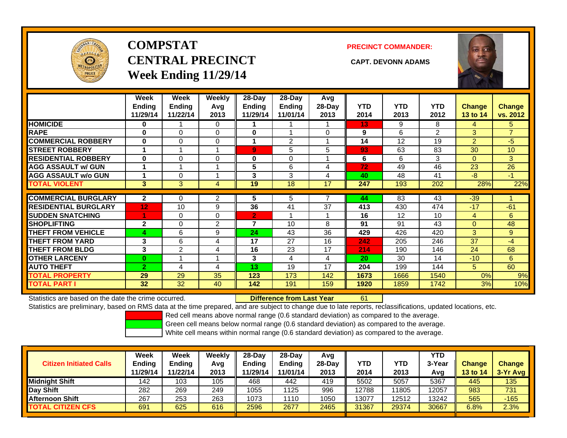

# **COMPSTATCENTRAL PRECINCT CAPT. DEVONN ADAMSWeek Ending 11/29/14**

**PRECINCT COMMANDER:**



|                             | Week<br><b>Ending</b><br>11/29/14 | Week<br><b>Ending</b><br>11/22/14 | <b>Weekly</b><br>Avq<br>2013 | 28-Day<br>Ending<br>11/29/14 | $28-Day$<br><b>Ending</b><br>11/01/14 | Avg<br>$28-Day$<br>2013 | <b>YTD</b><br>2014 | <b>YTD</b><br>2013 | <b>YTD</b><br>2012 | <b>Change</b><br><b>13 to 14</b> | Change<br>vs. 2012 |
|-----------------------------|-----------------------------------|-----------------------------------|------------------------------|------------------------------|---------------------------------------|-------------------------|--------------------|--------------------|--------------------|----------------------------------|--------------------|
| <b>HOMICIDE</b>             | 0                                 |                                   | $\Omega$                     |                              |                                       |                         | 13                 | 9                  | 8                  | 4                                | 5.                 |
| <b>RAPE</b>                 | $\bf{0}$                          | $\Omega$                          | $\Omega$                     | $\bf{0}$                     |                                       | $\Omega$                | 9                  | 6                  | $\overline{2}$     | 3                                | $\overline{7}$     |
| <b>COMMERCIAL ROBBERY</b>   | $\bf{0}$                          | $\Omega$                          | $\Omega$                     |                              | 2                                     |                         | 14                 | 12                 | 19                 | 2                                | $-5$               |
| <b>STREET ROBBERY</b>       |                                   |                                   | 4                            | 9                            | 5                                     | 5                       | 93                 | 63                 | 83                 | 30                               | 10                 |
| <b>RESIDENTIAL ROBBERY</b>  | $\bf{0}$                          | $\Omega$                          | $\Omega$                     | 0                            | $\Omega$                              |                         | 6                  | 6                  | 3                  | $\mathbf{0}$                     | 3                  |
| <b>AGG ASSAULT w/ GUN</b>   |                                   | 1                                 | -4                           | 5                            | 6                                     | 4                       | 72                 | 49                 | 46                 | 23                               | 26                 |
| <b>AGG ASSAULT w/o GUN</b>  |                                   | 0                                 |                              | 3                            | 3                                     | 4                       | 40                 | 48                 | 41                 | $-8$                             | -1                 |
| <b>TOTAL VIOLENT</b>        | $\mathbf{3}$                      | 3                                 | 4                            | 19                           | 18                                    | 17                      | 247                | 193                | 202                | 28%                              | 22%                |
|                             |                                   |                                   |                              |                              |                                       |                         |                    |                    |                    |                                  |                    |
| <b>COMMERCIAL BURGLARY</b>  | $\mathbf{2}$                      | 0                                 | 2                            | 5                            | 5                                     |                         | 44                 | 83                 | 43                 | $-39$                            |                    |
| <b>RESIDENTIAL BURGLARY</b> | 12 <sub>2</sub>                   | 10                                | 9                            | 36                           | 41                                    | 37                      | 413                | 430                | 474                | $-17$                            | $-61$              |
| <b>SUDDEN SNATCHING</b>     | 1                                 | $\Omega$                          | $\Omega$                     | $\overline{2}$               |                                       |                         | 16                 | 12                 | 10                 | 4                                | 6                  |
| <b>SHOPLIFTING</b>          | $\mathbf{2}$                      | $\Omega$                          | 2                            | 7                            | 10                                    | 8                       | 91                 | 91                 | 43                 | $\Omega$                         | 48                 |
| <b>THEFT FROM VEHICLE</b>   | 4                                 | 6                                 | 9                            | 24                           | 43                                    | 36                      | 429                | 426                | 420                | 3                                | 9                  |
| <b>THEFT FROM YARD</b>      | 3                                 | 6                                 | 4                            | 17                           | 27                                    | 16                      | 242                | 205                | 246                | 37                               | $-4$               |
| <b>THEFT FROM BLDG</b>      | 3                                 | 2                                 | 4                            | 16                           | 23                                    | 17                      | 214                | 190                | 146                | 24                               | 68                 |
| <b>OTHER LARCENY</b>        | $\bf{0}$                          | 1                                 | -4                           | 3                            | 4                                     | 4                       | 20                 | 30                 | 14                 | $-10$                            | 6                  |
| <b>AUTO THEFT</b>           | $\overline{2}$                    | 4                                 | 4                            | 13                           | 19                                    | 17                      | 204                | 199                | 144                | 5                                | 60                 |
| <b>TOTAL PROPERTY</b>       | 29                                | 29                                | 35                           | 123                          | 173                                   | 142                     | 1673               | 1666               | 1540               | 0%                               | 9%                 |
| <b>TOTAL PART I</b>         | 32                                | 32                                | 40                           | 142                          | 191                                   | 159                     | 1920               | 1859               | 1742               | 3%                               | 10%                |

Statistics are based on the date the crime occurred. **Difference from Last Year** 

61

Statistics are preliminary, based on RMS data at the time prepared, and are subject to change due to late reports, reclassifications, updated locations, etc.

Red cell means above normal range (0.6 standard deviation) as compared to the average.

Green cell means below normal range (0.6 standard deviation) as compared to the average.

| <b>Citizen Initiated Calls</b> | Week<br><b>Ending</b><br>11/29/14 | Week<br>Ending<br>11/22/14 | Weeklv<br>Avg<br>2013 | $28-Dav$<br><b>Ending</b><br>11/29/14 | 28-Dav<br><b>Ending</b><br>11/01/14 | Avg<br>$28-Dav$<br>2013 | YTD<br>2014 | YTD<br>2013 | <b>YTD</b><br>3-Year<br>Avg | <b>Change</b><br><b>13 to 14</b> | <b>Change</b><br>3-Yr Avg |
|--------------------------------|-----------------------------------|----------------------------|-----------------------|---------------------------------------|-------------------------------------|-------------------------|-------------|-------------|-----------------------------|----------------------------------|---------------------------|
| <b>Midnight Shift</b>          | 142                               | 103                        | 105                   | 468                                   | 442                                 | 419                     | 5502        | 5057        | 5367                        | 445                              | 135                       |
| Day Shift                      | 282                               | 269                        | 249                   | 1055                                  | 1125                                | 996                     | 12788       | 11805       | 12057                       | 983                              | 731                       |
| <b>Afternoon Shift</b>         | 267                               | 253                        | 263                   | 1073                                  | 1110                                | 1050                    | 13077       | 12512       | 13242                       | 565                              | $-165$                    |
| <b>TOTAL CITIZEN CFS</b>       | 691                               | 625                        | 616                   | 2596                                  | 2677                                | 2465                    | 31367       | 29374       | 30667                       | 6.8%                             | 2.3%                      |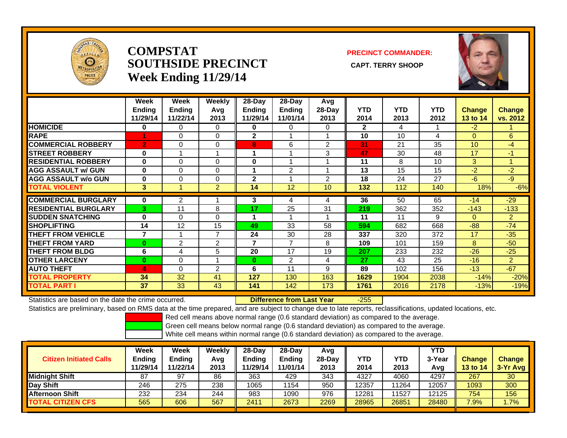

## **COMPSTATSOUTHSIDE PRECINCT** CAPT. TERRY SHOOP **Week Ending 11/29/14**

## **PRECINCT COMMANDER:**



|                             | Week<br><b>Endina</b><br>11/29/14 | Week<br><b>Ending</b><br>11/22/14 | Weekly<br>Avg<br>2013 | $28$ -Day<br>Ending<br>11/29/14 | 28-Day<br><b>Ending</b><br>11/01/14 | Avg<br>28-Day<br>2013 | <b>YTD</b><br>2014 | <b>YTD</b><br>2013 | <b>YTD</b><br>2012 | <b>Change</b><br>13 to 14 | <b>Change</b><br>vs. 2012 |
|-----------------------------|-----------------------------------|-----------------------------------|-----------------------|---------------------------------|-------------------------------------|-----------------------|--------------------|--------------------|--------------------|---------------------------|---------------------------|
| <b>HOMICIDE</b>             | 0                                 | 0                                 | 0                     | 0                               | 0                                   | 0                     | $\mathbf{2}$       | 4                  |                    | $-2$                      |                           |
| <b>RAPE</b>                 |                                   | 0                                 | 0                     | $\mathbf{2}$                    |                                     |                       | 10                 | 10                 | 4                  | $\Omega$                  | 6                         |
| <b>COMMERCIAL ROBBERY</b>   | $\overline{2}$                    | $\Omega$                          | $\Omega$              | 8                               | 6                                   | 2                     | 31                 | 21                 | 35                 | 10                        | -4                        |
| <b>STREET ROBBERY</b>       | $\bf{0}$                          |                                   |                       | 1                               |                                     | 3                     | 47                 | 30                 | 48                 | 17                        | $-1$                      |
| <b>RESIDENTIAL ROBBERY</b>  | $\bf{0}$                          | 0                                 | $\Omega$              | $\bf{0}$                        |                                     |                       | 11                 | 8                  | 10                 | 3                         |                           |
| <b>AGG ASSAULT w/ GUN</b>   | $\bf{0}$                          | 0                                 | 0                     | 1                               | 2                                   |                       | 13                 | 15                 | 15                 | -2                        | $-2$                      |
| <b>AGG ASSAULT w/o GUN</b>  | $\bf{0}$                          | 0                                 | $\Omega$              | $\mathbf 2$                     |                                     | $\overline{2}$        | 18                 | 24                 | 27                 | $-6$                      | $-9$                      |
| <b>TOTAL VIOLENT</b>        | 3                                 |                                   | $\overline{2}$        | 14                              | 12                                  | 10                    | 132                | 112                | 140                | 18%                       | $-6%$                     |
| <b>COMMERCIAL BURGLARY</b>  | $\bf{0}$                          | 2                                 |                       | 3                               | 4                                   | 4                     | 36                 | 50                 | 65                 | $-14$                     | $-29$                     |
| <b>RESIDENTIAL BURGLARY</b> | 3                                 | 11                                | 8                     | 17                              | 25                                  | 31                    | 219                | 362                | 352                | $-143$                    | $-133$                    |
| <b>ISUDDEN SNATCHING</b>    | $\bf{0}$                          | $\Omega$                          | $\Omega$              | 1                               |                                     |                       | 11                 | 11                 | 9                  | $\Omega$                  | $\overline{2}$            |
| <b>ISHOPLIFTING</b>         | 14                                | 12                                | 15                    | 49                              | 33                                  | 58                    | 594                | 682                | 668                | $-88-$                    | $-74$                     |
| <b>THEFT FROM VEHICLE</b>   | 7                                 |                                   | 7                     | 24                              | 30                                  | 28                    | 337                | 320                | 372                | 17                        | $-35$                     |
| <b>THEFT FROM YARD</b>      | $\bf{0}$                          | 2                                 | $\overline{2}$        | 7                               | 7                                   | 8                     | 109                | 101                | 159                | 8                         | $-50$                     |
| <b>THEFT FROM BLDG</b>      | 6                                 | 4                                 | 5                     | 20                              | 17                                  | 19                    | 207                | 233                | 232                | $-26$                     | $-25$                     |
| <b>OTHER LARCENY</b>        | $\bf{0}$                          | $\Omega$                          |                       | $\bf{0}$                        | 2                                   | 4                     | 27                 | 43                 | 25                 | $-16$                     | $\overline{2}$            |
| <b>AUTO THEFT</b>           | 4                                 | $\Omega$                          | 2                     | 6                               | 11                                  | 9                     | 89                 | 102                | 156                | $-13$                     | $-67$                     |
| <b>TOTAL PROPERTY</b>       | 34                                | 32                                | 41                    | 127                             | 130                                 | 163                   | 1629               | 1904               | 2038               | $-14%$                    | $-20%$                    |
| <b>TOTAL PARTI</b>          | 37                                | 33                                | 43                    | 141                             | 142                                 | 173                   | 1761               | 2016               | 2178               | $-13%$                    | $-19%$                    |

Statistics are based on the date the crime occurred. **Difference from Last Year** 

-255

Statistics are preliminary, based on RMS data at the time prepared, and are subject to change due to late reports, reclassifications, updated locations, etc.

Red cell means above normal range (0.6 standard deviation) as compared to the average.

Green cell means below normal range (0.6 standard deviation) as compared to the average.

| <b>Citizen Initiated Calls</b> | Week<br>Ending<br>11/29/14 | Week<br><b>Ending</b><br>11/22/14 | Weekly<br>Avg<br>2013 | $28-Dav$<br><b>Ending</b><br>11/29/14 | 28-Dav<br><b>Ending</b><br>11/01/14 | Avg<br>28-Day<br>2013 | YTD<br>2014 | YTD<br>2013 | <b>YTD</b><br>3-Year<br>Avg | <b>Change</b><br>13 to 14 | <b>Change</b><br>3-Yr Avg |
|--------------------------------|----------------------------|-----------------------------------|-----------------------|---------------------------------------|-------------------------------------|-----------------------|-------------|-------------|-----------------------------|---------------------------|---------------------------|
| <b>Midnight Shift</b>          | 87                         | 97                                | 86                    | 363                                   | 429                                 | 343                   | 4327        | 4060        | 4297                        | 267                       | 30                        |
| Day Shift                      | 246                        | 275                               | 238                   | 1065                                  | 154                                 | 950                   | 12357       | 11264       | 12057                       | 1093                      | 300                       |
| <b>Afternoon Shift</b>         | 232                        | 234                               | 244                   | 983                                   | 1090                                | 976                   | 12281       | 11527       | 12125                       | 754                       | 156                       |
| <b>TOTAL CITIZEN CFS</b>       | 565                        | 606                               | 567                   | 2411                                  | 2673                                | 2269                  | 28965       | 26851       | 28480                       | 7.9%                      | .7%                       |